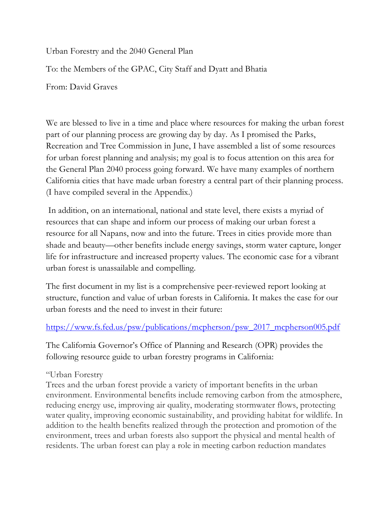Urban Forestry and the 2040 General Plan

To: the Members of the GPAC, City Staff and Dyatt and Bhatia

From: David Graves

We are blessed to live in a time and place where resources for making the urban forest part of our planning process are growing day by day. As I promised the Parks, Recreation and Tree Commission in June, I have assembled a list of some resources for urban forest planning and analysis; my goal is to focus attention on this area for the General Plan 2040 process going forward. We have many examples of northern California cities that have made urban forestry a central part of their planning process. (I have compiled several in the Appendix.)

In addition, on an international, national and state level, there exists a myriad of resources that can shape and inform our process of making our urban forest a resource for all Napans, now and into the future. Trees in cities provide more than shade and beauty—other benefits include energy savings, storm water capture, longer life for infrastructure and increased property values. The economic case for a vibrant urban forest is unassailable and compelling.

The first document in my list is a comprehensive peer-reviewed report looking at structure, function and value of urban forests in California. It makes the case for our urban forests and the need to invest in their future:

[https://www.fs.fed.us/psw/publications/mcpherson/psw\\_2017\\_mcpherson005.pdf](https://www.fs.fed.us/psw/publications/mcpherson/psw_2017_mcpherson005.pdf)

The California Governor's Office of Planning and Research (OPR) provides the following resource guide to urban forestry programs in California:

## "Urban Forestry

Trees and the urban forest provide a variety of important benefits in the urban environment. Environmental benefits include removing carbon from the atmosphere, reducing energy use, improving air quality, moderating stormwater flows, protecting water quality, improving economic sustainability, and providing habitat for wildlife. In addition to the health benefits realized through the protection and promotion of the environment, trees and urban forests also support the physical and mental health of residents. The urban forest can play a role in meeting carbon reduction mandates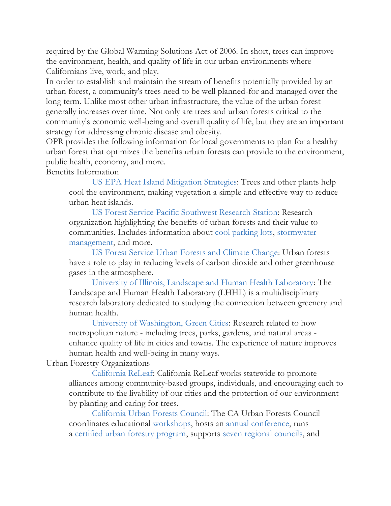required by the Global Warming Solutions Act of 2006. In short, trees can improve the environment, health, and quality of life in our urban environments where Californians live, work, and play.

In order to establish and maintain the stream of benefits potentially provided by an urban forest, a community's trees need to be well planned-for and managed over the long term. Unlike most other urban infrastructure, the value of the urban forest generally increases over time. Not only are trees and urban forests critical to the community's economic well-being and overall quality of life, but they are an important strategy for addressing chronic disease and obesity.

OPR provides the following information for local governments to plan for a healthy urban forest that optimizes the benefits urban forests can provide to the environment, public health, economy, and more.

Benefits Information

[US EPA Heat Island](http://www.epa.gov/hiri/mitigation/trees.htm) Mitigation Strategies: Trees and other plants help cool the environment, making vegetation a simple and effective way to reduce urban heat islands.

[US Forest Service Pacific Southwest Research Station:](http://www.fs.fed.us/psw/programs/uesd/uep/) Research organization highlighting the benefits of urban forests and their value to communities. Includes information about [cool parking lots,](http://sactree.com/assets/files/greenprint/toolkit/b/CoolParkingLots.pdf) [stormwater](http://sactree.com/assets/files/greenprint/toolkit/b/CUFRJuly02NewsletterStormDrainageReductions.pdf)  [management,](http://sactree.com/assets/files/greenprint/toolkit/b/CUFRJuly02NewsletterStormDrainageReductions.pdf) and more.

[US Forest Service Urban Forests and Climate Change:](http://www.fs.fed.us/ccrc/topics/urban-forests/) Urban forests have a role to play in reducing levels of carbon dioxide and other greenhouse gases in the atmosphere.

[University of Illinois, Landscape and Human Health Laboratory:](http://lhhl.illinois.edu/index.htm) The Landscape and Human Health Laboratory (LHHL) is a multidisciplinary research laboratory dedicated to studying the connection between greenery and human health.

[University of Washington, Green Cities:](http://depts.washington.edu/hhwb/) Research related to how metropolitan nature - including trees, parks, gardens, and natural areas enhance quality of life in cities and towns. The experience of nature improves human health and well-being in many ways.

## Urban Forestry Organizations

[California ReLeaf:](http://www.californiareleaf.org/) California ReLeaf works statewide to promote alliances among community-based groups, individuals, and encouraging each to contribute to the livability of our cities and the protection of our environment by planting and caring for trees.

[California Urban Forests Council:](http://www.caufc.org/) The CA Urban Forests Council coordinates educational [workshops,](http://www.caufc.org/Workshops) hosts an [annual conference,](http://www.caufc.org/Annual%20Conference) runs a [certified urban forestry program,](http://www.caufc.org/California%20Certified%20Urban%20Forester%20Program) supports [seven regional councils,](http://www.caufc.org/Regional%20Councils) and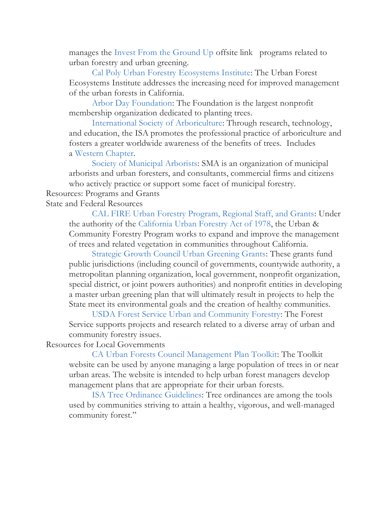manages the [Invest From the Ground Up](http://investfromthegroundup.org/) offsite link programs related to urban forestry and urban greening.

[Cal Poly Urban Forestry Ecosystems Institute:](http://ufei.org/) The Urban Forest Ecosystems Institute addresses the increasing need for improved management of the urban forests in California.

[Arbor Day Foundation:](http://www.arborday.org/) The Foundation is the largest nonprofit membership organization dedicated to planting trees.

[International Society of Arboriculture:](http://www.isa-arbor.com/) Through research, technology, and education, the ISA promotes the professional practice of arboriculture and fosters a greater worldwide awareness of the benefits of trees. Includes a [Western Chapter.](http://www.wcisa.net/)

[Society of Municipal Arborists:](http://www.urban-forestry.com/) SMA is an organization of municipal arborists and urban foresters, and consultants, commercial firms and citizens who actively practice or support some facet of municipal forestry.

Resources: Programs and Grants

State and Federal Resources

[CAL FIRE Urban Forestry Program, Regional Staff, and Grants:](http://www.fire.ca.gov/resource_mgt/resource_mgt_urbanforestry.php) Under the authority of the [California Urban Forestry Act of 1978,](http://www.fire.ca.gov/resource_mgt/downloads/UrbanForestry_ACT_2010.pdf) the Urban & Community Forestry Program works to expand and improve the management of trees and related vegetation in communities throughout California.

[Strategic Growth Council Urban Greening Grants:](http://sgc.ca.gov/programs/prop84/ugg.html) These grants fund public jurisdictions (including council of governments, countywide authority, a metropolitan planning organization, local government, nonprofit organization, special district, or joint powers authorities) and nonprofit entities in developing a master urban greening plan that will ultimately result in projects to help the State meet its environmental goals and the creation of healthy communities.

[USDA Forest Service Urban and Community Forestry:](http://www.fs.fed.us/ucf/) The Forest Service supports projects and research related to a diverse array of urban and community forestry issues.

Resources for Local Governments

[CA Urban Forests Council Management Plan Toolkit:](http://ufmptoolkit.com/index.htm) The Toolkit website can be used by anyone managing a large population of trees in or near urban areas. The website is intended to help urban forest managers develop management plans that are appropriate for their urban forests.

[ISA Tree Ordinance Guidelines:](http://www.isa-arbor.com/education/onlineResources/treeOrdinanceGuidelines.aspx) Tree ordinances are among the tools used by communities striving to attain a healthy, vigorous, and well-managed community forest."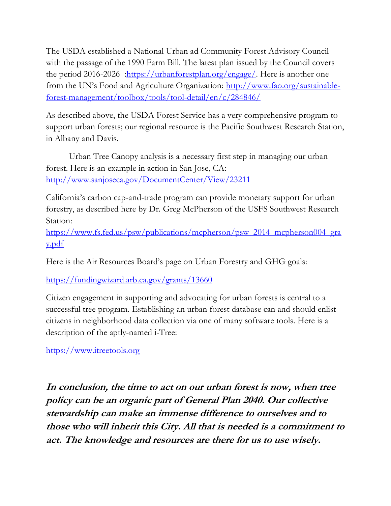The USDA established a National Urban ad Community Forest Advisory Council with the passage of the 1990 Farm Bill. The latest plan issued by the Council covers the period 2016-2026 : https://urbanforestplan.org/engage/. Here is another one from the UN's Food and Agriculture Organization: [http://www.fao.org/sustainable](http://www.fao.org/sustainable-forest-management/toolbox/tools/tool-detail/en/c/284846/)[forest-management/toolbox/tools/tool-detail/en/c/284846/](http://www.fao.org/sustainable-forest-management/toolbox/tools/tool-detail/en/c/284846/)

As described above, the USDA Forest Service has a very comprehensive program to support urban forests; our regional resource is the Pacific Southwest Research Station, in Albany and Davis.

Urban Tree Canopy analysis is a necessary first step in managing our urban forest. Here is an example in action in San Jose, CA: <http://www.sanjoseca.gov/DocumentCenter/View/23211>

California's carbon cap-and-trade program can provide monetary support for urban forestry, as described here by Dr. Greg McPherson of the USFS Southwest Research Station:

[https://www.fs.fed.us/psw/publications/mcpherson/psw\\_2014\\_mcpherson004\\_gra](https://www.fs.fed.us/psw/publications/mcpherson/psw_2014_mcpherson004_gray.pdf) [y.pdf](https://www.fs.fed.us/psw/publications/mcpherson/psw_2014_mcpherson004_gray.pdf)

Here is the Air Resources Board's page on Urban Forestry and GHG goals:

<https://fundingwizard.arb.ca.gov/grants/13660>

Citizen engagement in supporting and advocating for urban forests is central to a successful tree program. Establishing an urban forest database can and should enlist citizens in neighborhood data collection via one of many software tools. Here is a description of the aptly-named i-Tree:

[https://www.itreetools.org](https://www.itreetools.org/)

**In conclusion, the time to act on our urban forest is now, when tree policy can be an organic part of General Plan 2040. Our collective stewardship can make an immense difference to ourselves and to those who will inherit this City. All that is needed is a commitment to act. The knowledge and resources are there for us to use wisely.**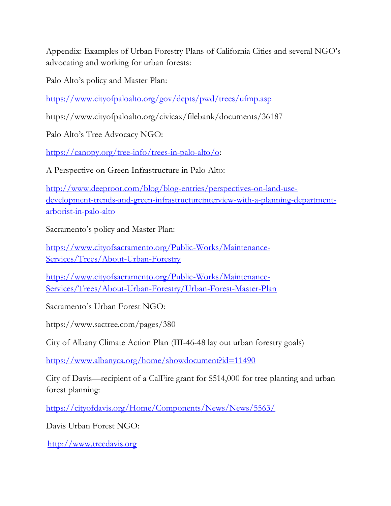Appendix: Examples of Urban Forestry Plans of California Cities and several NGO's advocating and working for urban forests:

Palo Alto's policy and Master Plan:

<https://www.cityofpaloalto.org/gov/depts/pwd/trees/ufmp.asp>

https://www.cityofpaloalto.org/civicax/filebank/documents/36187

Palo Alto's Tree Advocacy NGO:

[https://canopy.org/tree-info/trees-in-palo-alto/o:](https://canopy.org/tree-info/trees-in-palo-alto/o)

A Perspective on Green Infrastructure in Palo Alto:

[http://www.deeproot.com/blog/blog-entries/perspectives-on-land-use](http://www.deeproot.com/blog/blog-entries/perspectives-on-land-use-development-trends-and-green-infrastructureinterview-with-a-planning-department-arborist-in-palo-alto)[development-trends-and-green-infrastructureinterview-with-a-planning-department](http://www.deeproot.com/blog/blog-entries/perspectives-on-land-use-development-trends-and-green-infrastructureinterview-with-a-planning-department-arborist-in-palo-alto)[arborist-in-palo-alto](http://www.deeproot.com/blog/blog-entries/perspectives-on-land-use-development-trends-and-green-infrastructureinterview-with-a-planning-department-arborist-in-palo-alto)

Sacramento's policy and Master Plan:

[https://www.cityofsacramento.org/Public-Works/Maintenance-](https://www.cityofsacramento.org/Public-Works/Maintenance-Services/Trees/About-Urban-Forestry)[Services/Trees/About-Urban-Forestry](https://www.cityofsacramento.org/Public-Works/Maintenance-Services/Trees/About-Urban-Forestry)

[https://www.cityofsacramento.org/Public-Works/Maintenance-](https://www.cityofsacramento.org/Public-Works/Maintenance-Services/Trees/About-Urban-Forestry/Urban-Forest-Master-Plan)[Services/Trees/About-Urban-Forestry/Urban-Forest-Master-Plan](https://www.cityofsacramento.org/Public-Works/Maintenance-Services/Trees/About-Urban-Forestry/Urban-Forest-Master-Plan)

Sacramento's Urban Forest NGO:

https://www.sactree.com/pages/380

City of Albany Climate Action Plan (III-46-48 lay out urban forestry goals)

<https://www.albanyca.org/home/showdocument?id=11490>

City of Davis—recipient of a CalFire grant for \$514,000 for tree planting and urban forest planning:

<https://cityofdavis.org/Home/Components/News/News/5563/>

Davis Urban Forest NGO:

[http://www.treedavis.org](http://www.treedavis.org/)